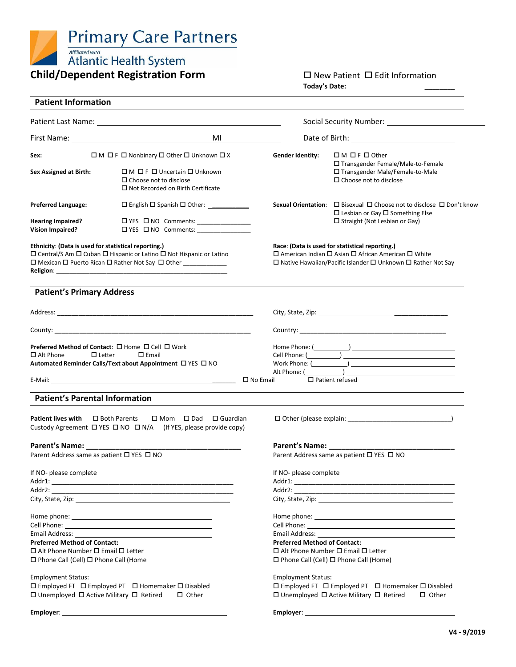

| $\Pi$ New Patient $\Pi$ Edit Information |  |
|------------------------------------------|--|

| Today's Date: |  |
|---------------|--|
|               |  |

| <b>Patient Information</b>                                                                                                                                                                                                                                            |                                                                                                                             |                                                                                                                                                                                                             |                                                                                                                                                                                                                                |  |
|-----------------------------------------------------------------------------------------------------------------------------------------------------------------------------------------------------------------------------------------------------------------------|-----------------------------------------------------------------------------------------------------------------------------|-------------------------------------------------------------------------------------------------------------------------------------------------------------------------------------------------------------|--------------------------------------------------------------------------------------------------------------------------------------------------------------------------------------------------------------------------------|--|
|                                                                                                                                                                                                                                                                       |                                                                                                                             |                                                                                                                                                                                                             |                                                                                                                                                                                                                                |  |
|                                                                                                                                                                                                                                                                       |                                                                                                                             |                                                                                                                                                                                                             | Date of Birth: <u>___________________________</u>                                                                                                                                                                              |  |
| Sex:                                                                                                                                                                                                                                                                  | ロ M ロ F ロ Nonbinary ロ Other ロ Unknown ロ X                                                                                   | <b>Gender Identity:</b>                                                                                                                                                                                     | $\Box M \Box F \Box$ Other                                                                                                                                                                                                     |  |
| <b>Sex Assigned at Birth:</b>                                                                                                                                                                                                                                         | □ M □ F □ Uncertain □ Unknown<br>$\Box$ Choose not to disclose<br>$\Box$ Not Recorded on Birth Certificate                  |                                                                                                                                                                                                             | □ Transgender Female/Male-to-Female<br>□ Transgender Male/Female-to-Male<br>$\Box$ Choose not to disclose                                                                                                                      |  |
| <b>Preferred Language:</b>                                                                                                                                                                                                                                            |                                                                                                                             |                                                                                                                                                                                                             | <b>Sexual Orientation:</b> $\Box$ Bisexual $\Box$ Choose not to disclose $\Box$ Don't know<br>$\Box$ Lesbian or Gay $\Box$ Something Else                                                                                      |  |
| <b>Hearing Impaired?</b><br><b>Vision Impaired?</b>                                                                                                                                                                                                                   | $\Box$ YES $\Box$ NO Comments: ________________<br>$\Box$ YES $\Box$ NO Comments:                                           |                                                                                                                                                                                                             | $\Box$ Straight (Not Lesbian or Gay)                                                                                                                                                                                           |  |
| Ethnicity: (Data is used for statistical reporting.)<br>$\square$ Central/S Am $\square$ Cuban $\square$ Hispanic or Latino $\square$ Not Hispanic or Latino<br>□ Mexican □ Puerto Rican □ Rather Not Say □ Other ____________                                        |                                                                                                                             | Race: (Data is used for statistical reporting.)<br>$\Box$ American Indian $\Box$ Asian $\Box$ African American $\Box$ White<br>$\Box$ Native Hawaiian/Pacific Islander $\Box$ Unknown $\Box$ Rather Not Say |                                                                                                                                                                                                                                |  |
| <b>Patient's Primary Address</b>                                                                                                                                                                                                                                      |                                                                                                                             |                                                                                                                                                                                                             |                                                                                                                                                                                                                                |  |
|                                                                                                                                                                                                                                                                       |                                                                                                                             |                                                                                                                                                                                                             |                                                                                                                                                                                                                                |  |
|                                                                                                                                                                                                                                                                       |                                                                                                                             |                                                                                                                                                                                                             |                                                                                                                                                                                                                                |  |
| <b>Preferred Method of Contact:</b> $\Box$ Home $\Box$ Cell $\Box$ Work<br>$\Box$ Alt Phone<br>$\square$ Email<br>$\Box$ Letter<br>Automated Reminder Calls/Text about Appointment □ YES □ NO<br>$\square$ No Email                                                   |                                                                                                                             | $\Box$ Patient refused                                                                                                                                                                                      |                                                                                                                                                                                                                                |  |
| <b>Patient's Parental Information</b>                                                                                                                                                                                                                                 |                                                                                                                             |                                                                                                                                                                                                             |                                                                                                                                                                                                                                |  |
| <b>Patient lives with</b>                                                                                                                                                                                                                                             | □ Both Parents<br>$\Box$ Mom $\Box$ Dad $\Box$ Guardian<br>Custody Agreement □ YES □ NO □ N/A (If YES, please provide copy) |                                                                                                                                                                                                             |                                                                                                                                                                                                                                |  |
|                                                                                                                                                                                                                                                                       |                                                                                                                             |                                                                                                                                                                                                             |                                                                                                                                                                                                                                |  |
| Parent Address same as patient □ YES □ NO                                                                                                                                                                                                                             |                                                                                                                             |                                                                                                                                                                                                             | Parent Address same as patient □ YES □ NO                                                                                                                                                                                      |  |
| If NO- please complete                                                                                                                                                                                                                                                |                                                                                                                             | If NO- please complete                                                                                                                                                                                      |                                                                                                                                                                                                                                |  |
|                                                                                                                                                                                                                                                                       |                                                                                                                             |                                                                                                                                                                                                             |                                                                                                                                                                                                                                |  |
|                                                                                                                                                                                                                                                                       | City, State, Zip: The City of State of The City, State of The City of The City of The City of The City of The City          |                                                                                                                                                                                                             | City, State, Zip: The City of the City of the City of the City of the City of the City of the City of the City                                                                                                                 |  |
|                                                                                                                                                                                                                                                                       |                                                                                                                             |                                                                                                                                                                                                             |                                                                                                                                                                                                                                |  |
|                                                                                                                                                                                                                                                                       |                                                                                                                             |                                                                                                                                                                                                             | Email Address: No. 1996. The Contract of the Contract of the Contract of the Contract of the Contract of the Contract of the Contract of the Contract of the Contract of the Contract of the Contract of the Contract of the C |  |
| Email Address: The Contract of the Contract of the Contract of the Contract of the Contract of the Contract of the Contract of the Contract of the Contract of the Contract of the Contract of the Contract of the Contract of<br><b>Preferred Method of Contact:</b> |                                                                                                                             | <b>Preferred Method of Contact:</b>                                                                                                                                                                         |                                                                                                                                                                                                                                |  |
| $\Box$ Alt Phone Number $\Box$ Email $\Box$ Letter                                                                                                                                                                                                                    |                                                                                                                             | □ Alt Phone Number □ Email □ Letter                                                                                                                                                                         |                                                                                                                                                                                                                                |  |
| $\Box$ Phone Call (Cell) $\Box$ Phone Call (Home                                                                                                                                                                                                                      |                                                                                                                             |                                                                                                                                                                                                             | $\Box$ Phone Call (Cell) $\Box$ Phone Call (Home)                                                                                                                                                                              |  |
| <b>Employment Status:</b><br>$\Box$ Unemployed $\Box$ Active Military $\Box$ Retired                                                                                                                                                                                  | $\Box$ Employed FT $\Box$ Employed PT $\Box$ Homemaker $\Box$ Disabled<br>$\Box$ Other                                      | <b>Employment Status:</b>                                                                                                                                                                                   | $\Box$ Employed FT $\Box$ Employed PT $\Box$ Homemaker $\Box$ Disabled<br>$\Box$ Unemployed $\Box$ Active Military $\Box$ Retired<br>$\Box$ Other                                                                              |  |
|                                                                                                                                                                                                                                                                       |                                                                                                                             |                                                                                                                                                                                                             |                                                                                                                                                                                                                                |  |